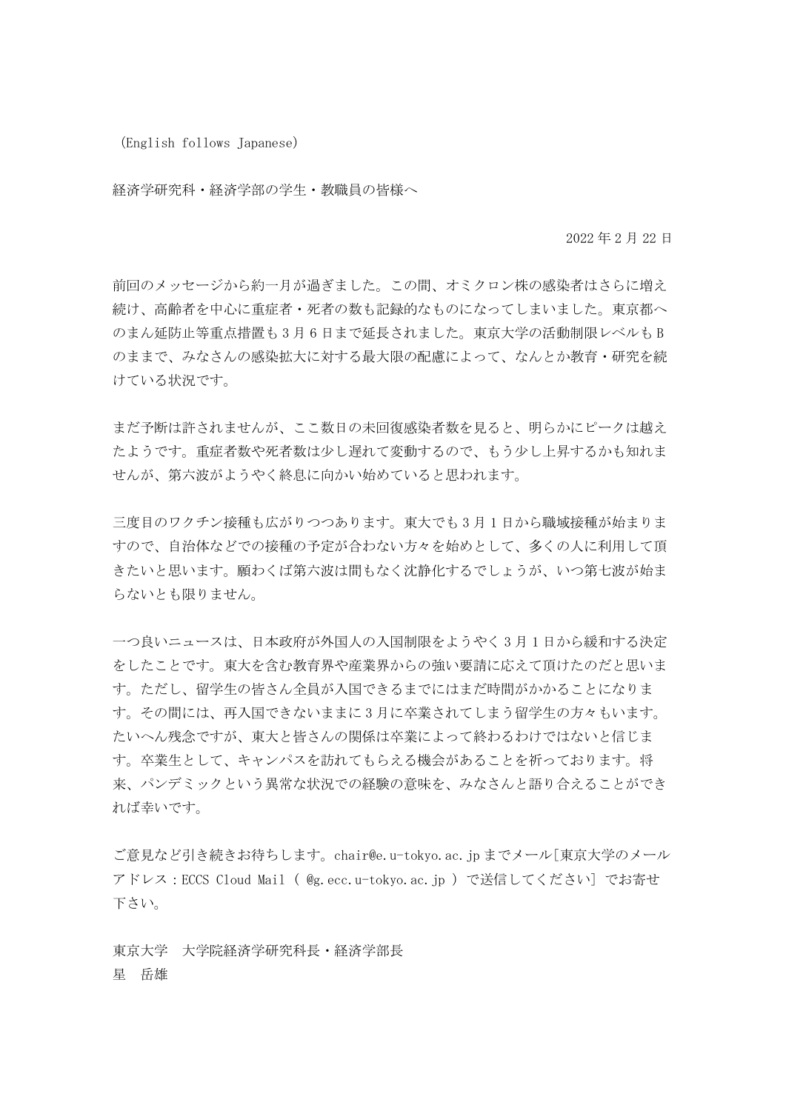(English follows Japanese)

経済学研究科・経済学部の学生・教職員の皆様へ

2022 年 2 月 22 日

前回のメッセージから約一月が過ぎました。この間、オミクロン株の感染者はさらに増え 続け、高齢者を中心に重症者・死者の数も記録的なものになってしまいました。東京都へ のまん延防止等重点措置も 3 月 6 日まで延長されました。東京大学の活動制限レベルも B のままで、みなさんの感染拡大に対する最大限の配慮によって、なんとか教育・研究を続 けている状況です。

まだ予断は許されませんが、ここ数日の未回復感染者数を見ると、明らかにピークは越え たようです。重症者数や死者数は少し遅れて変動するので、もう少し上昇するかも知れま せんが、第六波がようやく終息に向かい始めていると思われます。

三度目のワクチン接種も広がりつつあります。東大でも3月1日から職域接種が始まりま すので、自治体などでの接種の予定が合わない方々を始めとして、多くの人に利用して頂 きたいと思います。願わくば第六波は間もなく沈静化するでしょうが、いつ第七波が始ま らないとも限りません。

一つ良いニュースは、日本政府が外国人の入国制限をようやく 3 月 1 日から緩和する決定 をしたことです。東大を含む教育界や産業界からの強い要請に応えて頂けたのだと思いま す。ただし、留学生の皆さん全員が入国できるまでにはまだ時間がかかることになりま す。その間には、再入国できないままに 3 月に卒業されてしまう留学生の方々もいます。 たいへん残念ですが、東大と皆さんの関係は卒業によって終わるわけではないと信じま す。卒業生として、キャンパスを訪れてもらえる機会があることを祈っております。将 来、パンデミックという異常な状況での経験の意味を、みなさんと語り合えることができ れば幸いです。

ご意見など引き続きお待ちします。chair@e.u-tokyo.ac.jp までメール[東京大学のメール アドレス:ECCS Cloud Mail ( @g.ecc.u-tokyo.ac.jp )で送信してください] でお寄せ 下さい。

東京大学 大学院経済学研究科長・経済学部長 星 岳雄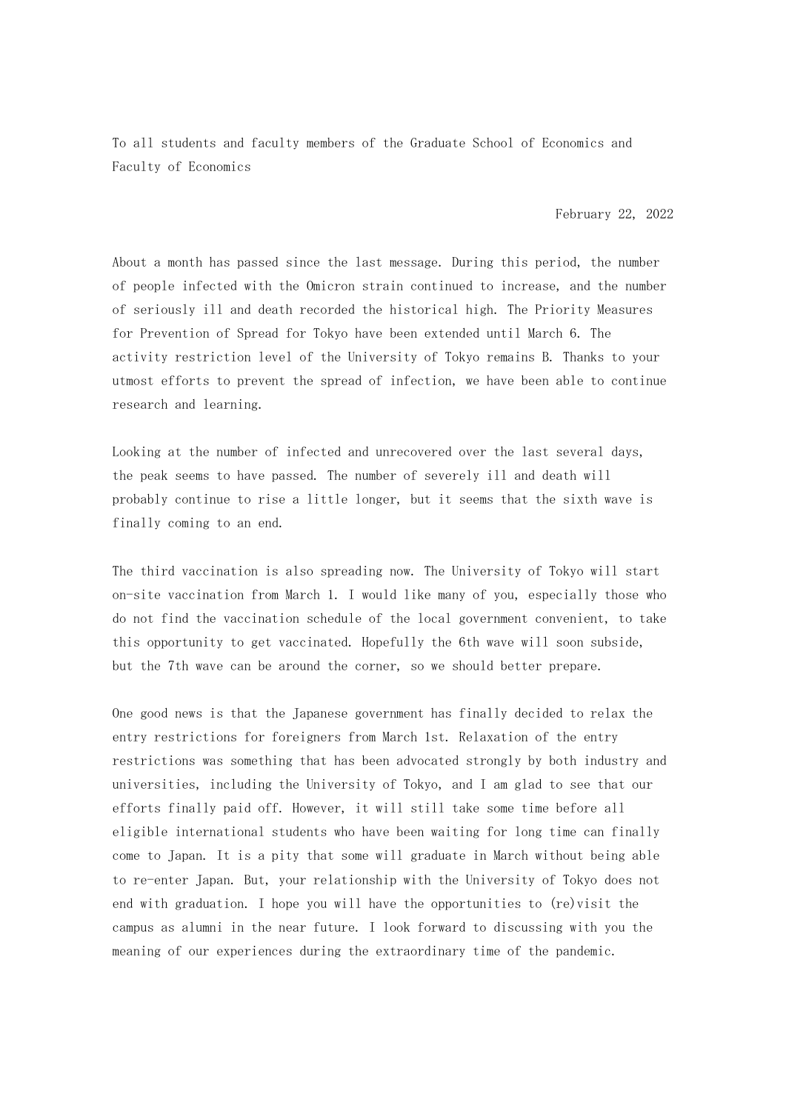To all students and faculty members of the Graduate School of Economics and Faculty of Economics

February 22, 2022

About a month has passed since the last message. During this period, the number of people infected with the Omicron strain continued to increase, and the number of seriously ill and death recorded the historical high. The Priority Measures for Prevention of Spread for Tokyo have been extended until March 6. The activity restriction level of the University of Tokyo remains B. Thanks to your utmost efforts to prevent the spread of infection, we have been able to continue research and learning.

Looking at the number of infected and unrecovered over the last several days, the peak seems to have passed. The number of severely ill and death will probably continue to rise a little longer, but it seems that the sixth wave is finally coming to an end.

The third vaccination is also spreading now. The University of Tokyo will start on-site vaccination from March 1. I would like many of you, especially those who do not find the vaccination schedule of the local government convenient, to take this opportunity to get vaccinated. Hopefully the 6th wave will soon subside, but the 7th wave can be around the corner, so we should better prepare.

One good news is that the Japanese government has finally decided to relax the entry restrictions for foreigners from March 1st. Relaxation of the entry restrictions was something that has been advocated strongly by both industry and universities, including the University of Tokyo, and I am glad to see that our efforts finally paid off. However, it will still take some time before all eligible international students who have been waiting for long time can finally come to Japan. It is a pity that some will graduate in March without being able to re-enter Japan. But, your relationship with the University of Tokyo does not end with graduation. I hope you will have the opportunities to (re)visit the campus as alumni in the near future. I look forward to discussing with you the meaning of our experiences during the extraordinary time of the pandemic.